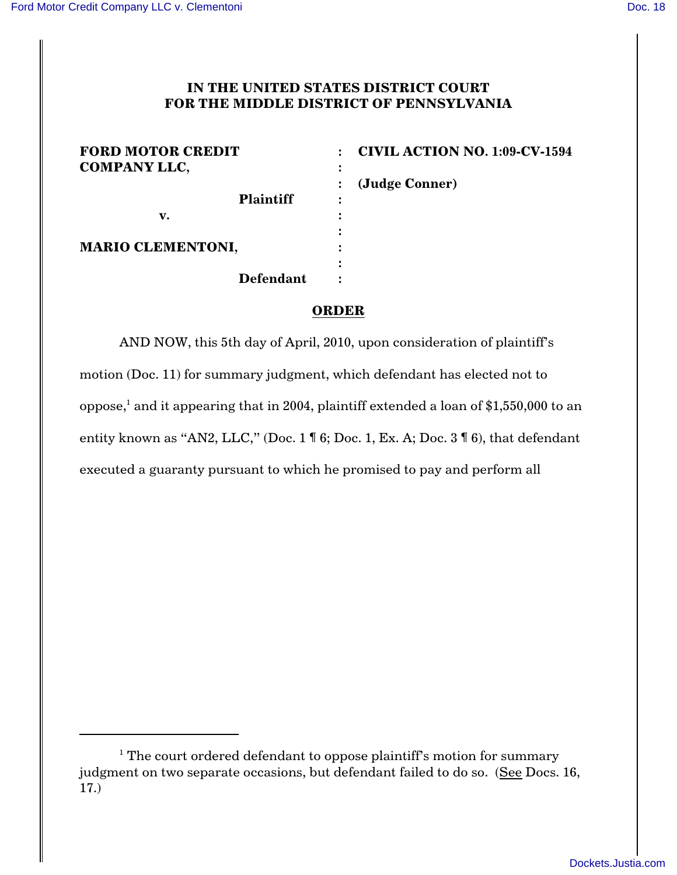## **IN THE UNITED STATES DISTRICT COURT FOR THE MIDDLE DISTRICT OF PENNSYLVANIA**

| <b>FORD MOTOR CREDIT</b><br><b>COMPANY LLC,</b> | <b>CIVIL ACTION NO. 1:09-CV-1594</b> |
|-------------------------------------------------|--------------------------------------|
|                                                 | (Judge Conner)                       |
| <b>Plaintiff</b>                                |                                      |
| v.                                              |                                      |
|                                                 |                                      |
| <b>MARIO CLEMENTONI,</b>                        |                                      |
|                                                 | ٠                                    |
| Defendant                                       |                                      |

## **ORDER**

AND NOW, this 5th day of April, 2010, upon consideration of plaintiff's motion (Doc. 11) for summary judgment, which defendant has elected not to oppose,<sup>1</sup> and it appearing that in 2004, plaintiff extended a loan of \$1,550,000 to an entity known as "AN2, LLC," (Doc. 1 ¶ 6; Doc. 1, Ex. A; Doc. 3 ¶ 6), that defendant executed a guaranty pursuant to which he promised to pay and perform all

 $1$ <sup>1</sup> The court ordered defendant to oppose plaintiff's motion for summary judgment on two separate occasions, but defendant failed to do so. (See Docs. 16, 17.)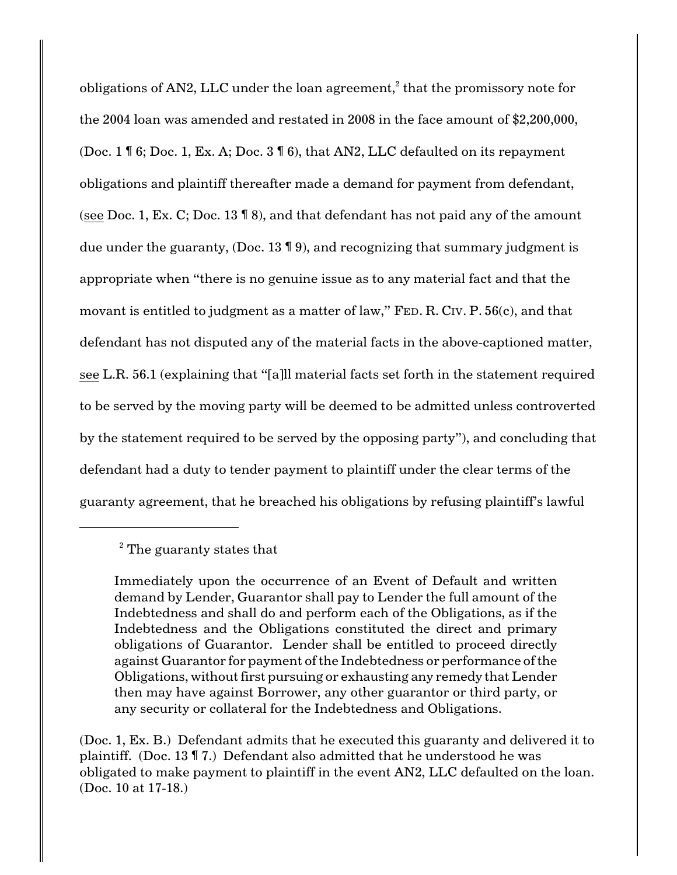obligations of AN2, LLC under the loan agreement, $\mathrm{^2}$  that the promissory note for the 2004 loan was amended and restated in 2008 in the face amount of \$2,200,000, (Doc. 1 ¶ 6; Doc. 1, Ex. A; Doc. 3 ¶ 6), that AN2, LLC defaulted on its repayment obligations and plaintiff thereafter made a demand for payment from defendant, (see Doc. 1, Ex. C; Doc. 13 ¶ 8), and that defendant has not paid any of the amount due under the guaranty, (Doc. 13 ¶ 9), and recognizing that summary judgment is appropriate when "there is no genuine issue as to any material fact and that the movant is entitled to judgment as a matter of law," FED. R. CIV. P. 56(c), and that defendant has not disputed any of the material facts in the above-captioned matter, see L.R. 56.1 (explaining that "[a]ll material facts set forth in the statement required to be served by the moving party will be deemed to be admitted unless controverted by the statement required to be served by the opposing party"), and concluding that defendant had a duty to tender payment to plaintiff under the clear terms of the guaranty agreement, that he breached his obligations by refusing plaintiff's lawful

(Doc. 1, Ex. B.) Defendant admits that he executed this guaranty and delivered it to plaintiff. (Doc. 13 ¶ 7.) Defendant also admitted that he understood he was obligated to make payment to plaintiff in the event AN2, LLC defaulted on the loan. (Doc. 10 at 17-18.)

 $2$  The guaranty states that

Immediately upon the occurrence of an Event of Default and written demand by Lender, Guarantor shall pay to Lender the full amount of the Indebtedness and shall do and perform each of the Obligations, as if the Indebtedness and the Obligations constituted the direct and primary obligations of Guarantor. Lender shall be entitled to proceed directly against Guarantor for payment of the Indebtedness or performance of the Obligations, without first pursuing or exhausting any remedy that Lender then may have against Borrower, any other guarantor or third party, or any security or collateral for the Indebtedness and Obligations.